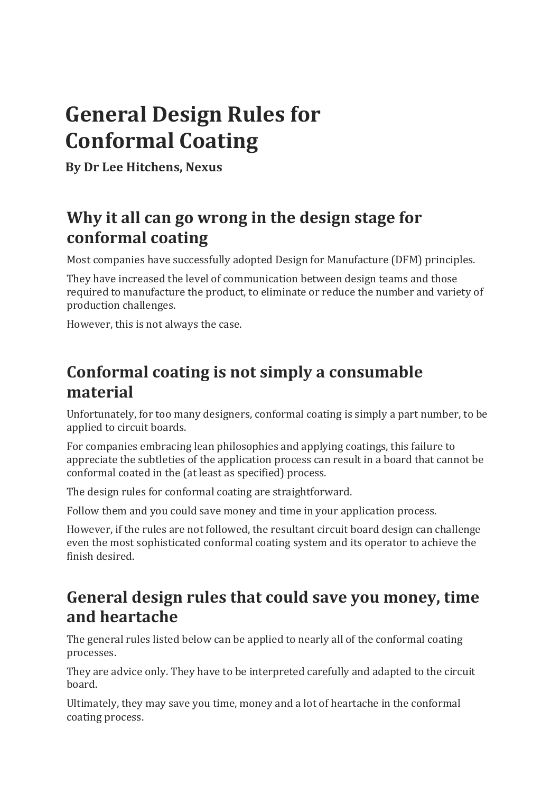# **General Design Rules for Conformal Coating**

**By Dr Lee Hitchens, Nexus**

# Why it all can go wrong in the design stage for **conformal coating**

Most companies have successfully adopted Design for Manufacture (DFM) principles.

They have increased the level of communication between design teams and those required to manufacture the product, to eliminate or reduce the number and variety of production challenges.

However, this is not always the case.

# Conformal coating is not simply a consumable **material**

Unfortunately, for too many designers, conformal coating is simply a part number, to be applied to circuit boards.

For companies embracing lean philosophies and applying coatings, this failure to appreciate the subtleties of the application process can result in a board that cannot be conformal coated in the (at least as specified) process.

The design rules for conformal coating are straightforward.

Follow them and you could save money and time in your application process.

However, if the rules are not followed, the resultant circuit board design can challenge even the most sophisticated conformal coating system and its operator to achieve the finish desired.

# General design rules that could save you money, time **and heartache**

The general rules listed below can be applied to nearly all of the conformal coating processes. 

They are advice only. They have to be interpreted carefully and adapted to the circuit board. 

Ultimately, they may save you time, money and a lot of heartache in the conformal coating process.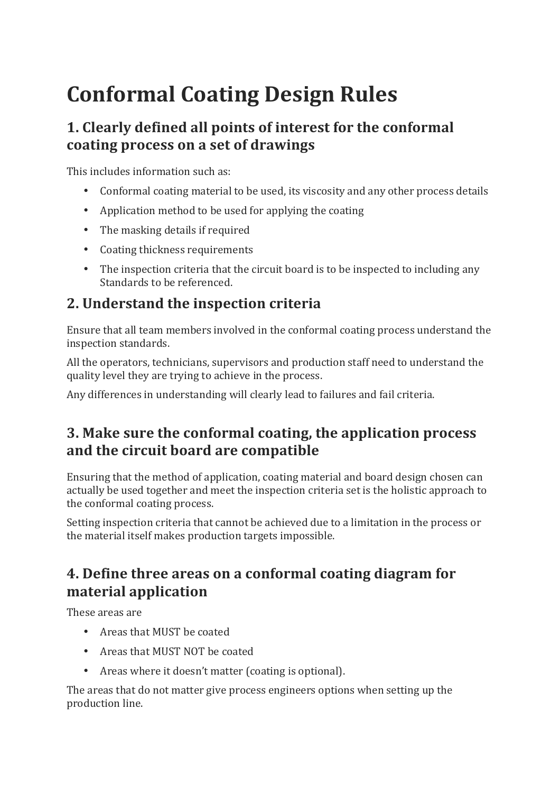# **Conformal Coating Design Rules**

# **1. Clearly defined all points of interest for the conformal** coating process on a set of drawings

This includes information such as:

- Conformal coating material to be used, its viscosity and any other process details
- Application method to be used for applying the coating
- The masking details if required
- Coating thickness requirements
- The inspection criteria that the circuit board is to be inspected to including any Standards to be referenced.

# **2. Understand the inspection criteria**

Ensure that all team members involved in the conformal coating process understand the inspection standards.

All the operators, technicians, supervisors and production staff need to understand the quality level they are trying to achieve in the process.

Any differences in understanding will clearly lead to failures and fail criteria.

## **3.** Make sure the conformal coating, the application process and the circuit board are compatible

Ensuring that the method of application, coating material and board design chosen can actually be used together and meet the inspection criteria set is the holistic approach to the conformal coating process.

Setting inspection criteria that cannot be achieved due to a limitation in the process or the material itself makes production targets impossible.

## **4. Define three areas on a conformal coating diagram for material application**

These areas are

- Areas that MUST be coated
- Areas that MUST NOT be coated
- Areas where it doesn't matter (coating is optional).

The areas that do not matter give process engineers options when setting up the production line.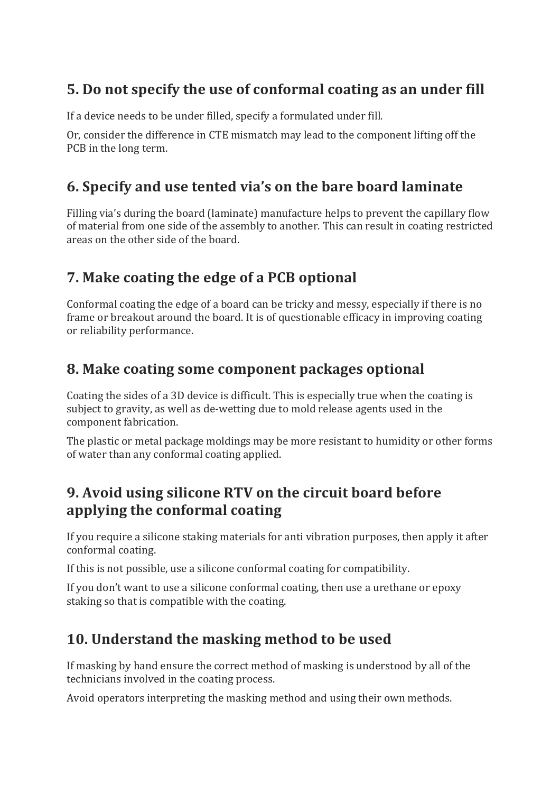## **5.** Do not specify the use of conformal coating as an under fill

If a device needs to be under filled, specify a formulated under fill.

Or, consider the difference in CTE mismatch may lead to the component lifting off the PCB in the long term.

## **6. Specify and use tented via's on the bare board laminate**

Filling via's during the board (laminate) manufacture helps to prevent the capillary flow of material from one side of the assembly to another. This can result in coating restricted areas on the other side of the board.

# **7.** Make coating the edge of a PCB optional

Conformal coating the edge of a board can be tricky and messy, especially if there is no frame or breakout around the board. It is of questionable efficacy in improving coating or reliability performance.

#### **8. Make coating some component packages optional**

Coating the sides of a 3D device is difficult. This is especially true when the coating is subject to gravity, as well as de-wetting due to mold release agents used in the component fabrication.

The plastic or metal package moldings may be more resistant to humidity or other forms of water than any conformal coating applied.

#### **9. Avoid using silicone RTV on the circuit board before applying the conformal coating**

If you require a silicone staking materials for anti vibration purposes, then apply it after conformal coating.

If this is not possible, use a silicone conformal coating for compatibility.

If you don't want to use a silicone conformal coating, then use a urethane or epoxy staking so that is compatible with the coating.

# **10.** Understand the masking method to be used

If masking by hand ensure the correct method of masking is understood by all of the technicians involved in the coating process.

Avoid operators interpreting the masking method and using their own methods.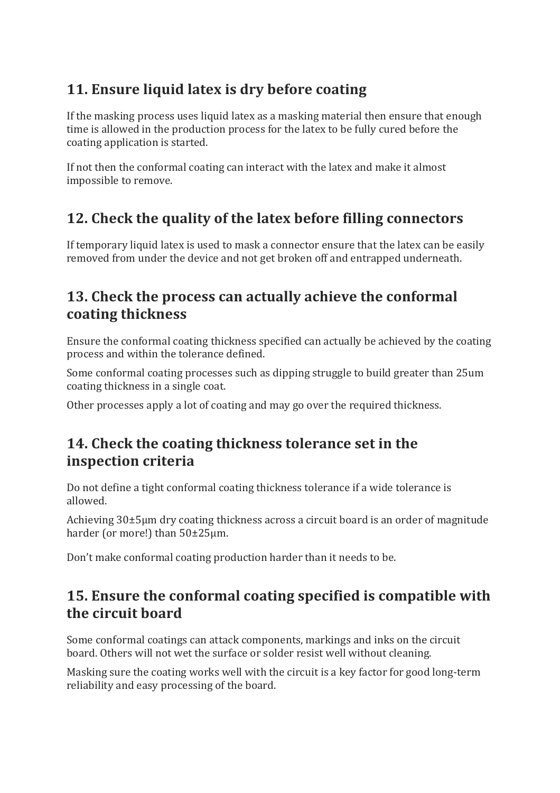# **11. Ensure liquid latex is dry before coating**

If the masking process uses liquid latex as a masking material then ensure that enough time is allowed in the production process for the latex to be fully cured before the coating application is started.

If not then the conformal coating can interact with the latex and make it almost impossible to remove.

# **12. Check the quality of the latex before filling connectors**

If temporary liquid latex is used to mask a connector ensure that the latex can be easily removed from under the device and not get broken off and entrapped underneath.

## **13. Check the process can actually achieve the conformal coating thickness**

Ensure the conformal coating thickness specified can actually be achieved by the coating process and within the tolerance defined.

Some conformal coating processes such as dipping struggle to build greater than 25um coating thickness in a single coat.

Other processes apply a lot of coating and may go over the required thickness.

#### **14. Check the coating thickness tolerance set in the inspection criteria**

Do not define a tight conformal coating thickness tolerance if a wide tolerance is allowed. 

Achieving  $30\pm5\mu$ m dry coating thickness across a circuit board is an order of magnitude harder (or more!) than  $50\pm25\mu$ m.

Don't make conformal coating production harder than it needs to be.

## **15. Ensure the conformal coating specified is compatible with the circuit board**

Some conformal coatings can attack components, markings and inks on the circuit board. Others will not wet the surface or solder resist well without cleaning.

Masking sure the coating works well with the circuit is a key factor for good long-term reliability and easy processing of the board.